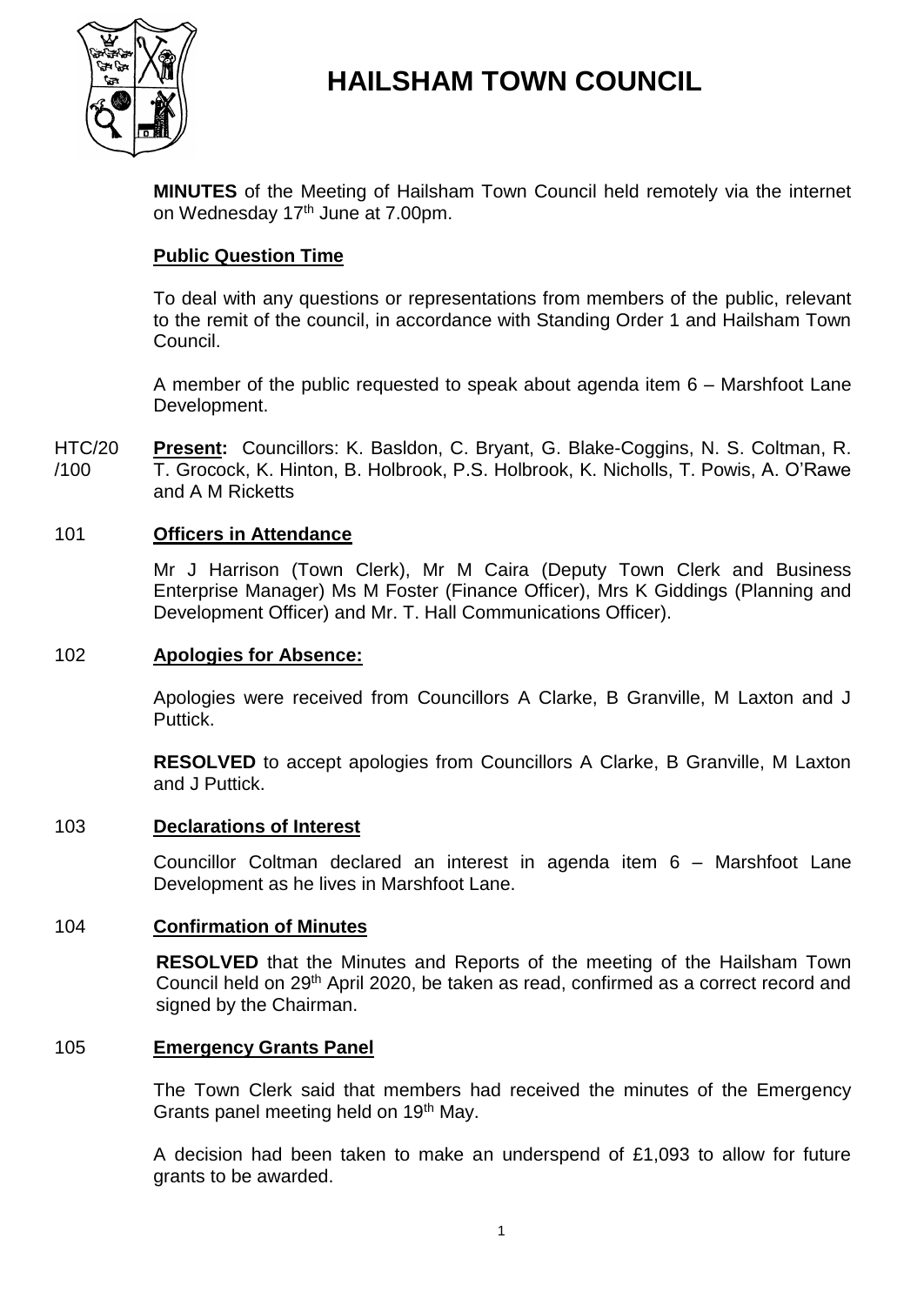

# **HAILSHAM TOWN COUNCIL**

**MINUTES** of the Meeting of Hailsham Town Council held remotely via the internet on Wednesday 17<sup>th</sup> June at 7.00pm.

# **Public Question Time**

To deal with any questions or representations from members of the public, relevant to the remit of the council, in accordance with Standing Order 1 and Hailsham Town Council.

A member of the public requested to speak about agenda item 6 – Marshfoot Lane Development.

HTC/20 /100 **Present:** Councillors: K. Basldon, C. Bryant, G. Blake-Coggins, N. S. Coltman, R. T. Grocock, K. Hinton, B. Holbrook, P.S. Holbrook, K. Nicholls, T. Powis, A. O'Rawe and A M Ricketts

# 101 **Officers in Attendance**

Mr J Harrison (Town Clerk), Mr M Caira (Deputy Town Clerk and Business Enterprise Manager) Ms M Foster (Finance Officer), Mrs K Giddings (Planning and Development Officer) and Mr. T. Hall Communications Officer).

### 102 **Apologies for Absence:**

Apologies were received from Councillors A Clarke, B Granville, M Laxton and J Puttick.

**RESOLVED** to accept apologies from Councillors A Clarke, B Granville, M Laxton and J Puttick.

### 103 **Declarations of Interest**

Councillor Coltman declared an interest in agenda item 6 – Marshfoot Lane Development as he lives in Marshfoot Lane.

### 104 **Confirmation of Minutes**

**RESOLVED** that the Minutes and Reports of the meeting of the Hailsham Town Council held on 29<sup>th</sup> April 2020, be taken as read, confirmed as a correct record and signed by the Chairman.

### 105 **Emergency Grants Panel**

The Town Clerk said that members had received the minutes of the Emergency Grants panel meeting held on 19<sup>th</sup> May.

A decision had been taken to make an underspend of £1,093 to allow for future grants to be awarded.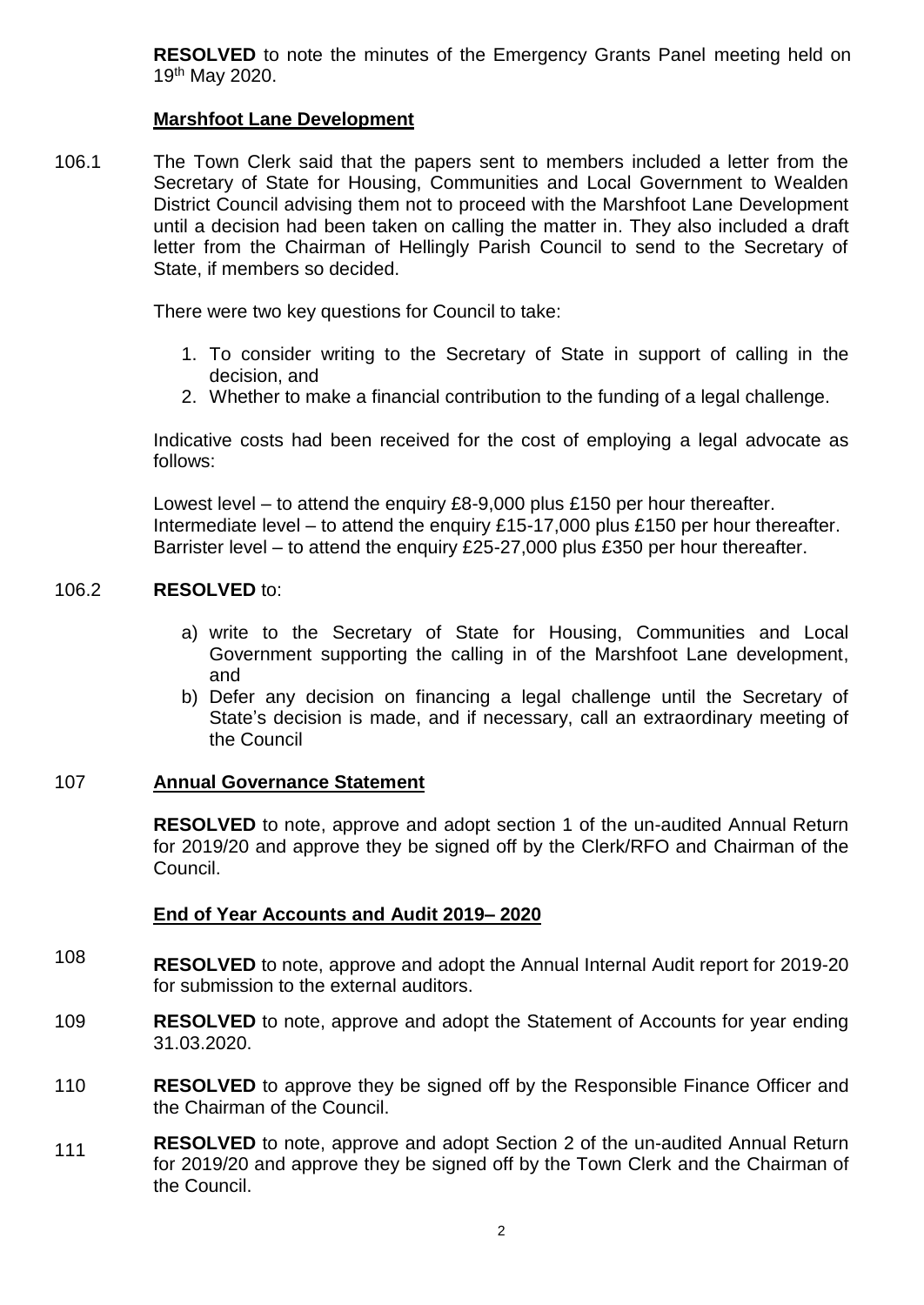**RESOLVED** to note the minutes of the Emergency Grants Panel meeting held on 19th May 2020.

# **Marshfoot Lane Development**

106.1 The Town Clerk said that the papers sent to members included a letter from the Secretary of State for Housing, Communities and Local Government to Wealden District Council advising them not to proceed with the Marshfoot Lane Development until a decision had been taken on calling the matter in. They also included a draft letter from the Chairman of Hellingly Parish Council to send to the Secretary of State, if members so decided.

There were two key questions for Council to take:

- 1. To consider writing to the Secretary of State in support of calling in the decision, and
- 2. Whether to make a financial contribution to the funding of a legal challenge.

Indicative costs had been received for the cost of employing a legal advocate as follows:

Lowest level – to attend the enquiry £8-9,000 plus £150 per hour thereafter. Intermediate level – to attend the enquiry £15-17,000 plus £150 per hour thereafter. Barrister level – to attend the enquiry £25-27,000 plus £350 per hour thereafter.

#### 106.2 **RESOLVED** to:

- a) write to the Secretary of State for Housing, Communities and Local Government supporting the calling in of the Marshfoot Lane development, and
- b) Defer any decision on financing a legal challenge until the Secretary of State's decision is made, and if necessary, call an extraordinary meeting of the Council

# 107 **Annual Governance Statement**

**RESOLVED** to note, approve and adopt section 1 of the un-audited Annual Return for 2019/20 and approve they be signed off by the Clerk/RFO and Chairman of the Council.

# **End of Year Accounts and Audit 2019– 2020**

- 108 **RESOLVED** to note, approve and adopt the Annual Internal Audit report for 2019-20 for submission to the external auditors.
- 109 **RESOLVED** to note, approve and adopt the Statement of Accounts for year ending 31.03.2020.
- 110 **RESOLVED** to approve they be signed off by the Responsible Finance Officer and the Chairman of the Council.
- 111 **RESOLVED** to note, approve and adopt Section 2 of the un-audited Annual Return for 2019/20 and approve they be signed off by the Town Clerk and the Chairman of the Council.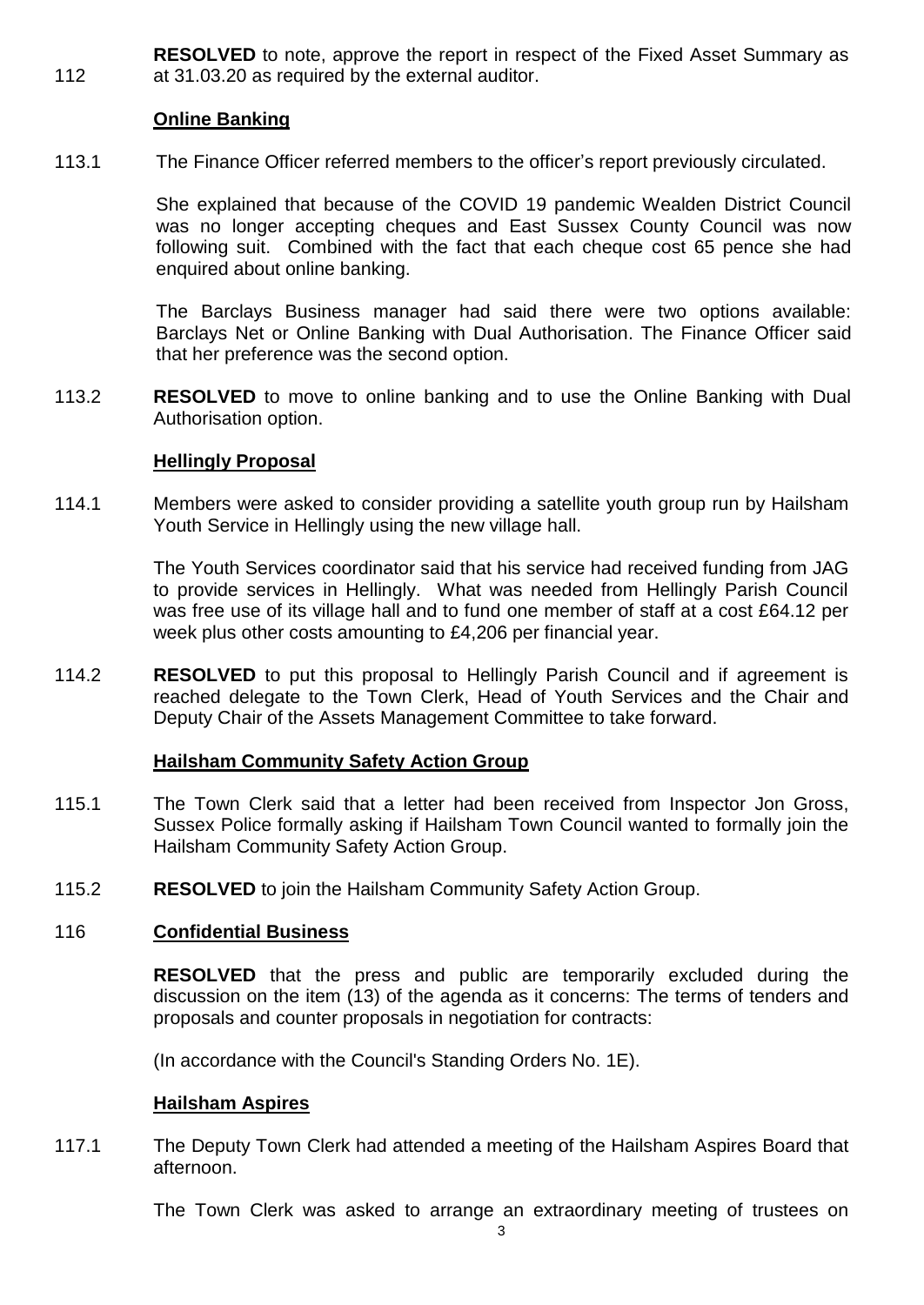112 **RESOLVED** to note, approve the report in respect of the Fixed Asset Summary as at 31.03.20 as required by the external auditor.

# **Online Banking**

113.1 The Finance Officer referred members to the officer's report previously circulated.

> She explained that because of the COVID 19 pandemic Wealden District Council was no longer accepting cheques and East Sussex County Council was now following suit. Combined with the fact that each cheque cost 65 pence she had enquired about online banking.

> The Barclays Business manager had said there were two options available: Barclays Net or Online Banking with Dual Authorisation. The Finance Officer said that her preference was the second option.

113.2 **RESOLVED** to move to online banking and to use the Online Banking with Dual Authorisation option.

### **Hellingly Proposal**

114.1 Members were asked to consider providing a satellite youth group run by Hailsham Youth Service in Hellingly using the new village hall.

> The Youth Services coordinator said that his service had received funding from JAG to provide services in Hellingly. What was needed from Hellingly Parish Council was free use of its village hall and to fund one member of staff at a cost £64.12 per week plus other costs amounting to £4,206 per financial year.

114.2 **RESOLVED** to put this proposal to Hellingly Parish Council and if agreement is reached delegate to the Town Clerk, Head of Youth Services and the Chair and Deputy Chair of the Assets Management Committee to take forward.

# **Hailsham Community Safety Action Group**

- 115.1 The Town Clerk said that a letter had been received from Inspector Jon Gross, Sussex Police formally asking if Hailsham Town Council wanted to formally join the Hailsham Community Safety Action Group.
- 115.2 **RESOLVED** to join the Hailsham Community Safety Action Group.

# 116 **Confidential Business**

**RESOLVED** that the press and public are temporarily excluded during the discussion on the item (13) of the agenda as it concerns: The terms of tenders and proposals and counter proposals in negotiation for contracts:

(In accordance with the Council's Standing Orders No. 1E).

### **Hailsham Aspires**

117.1 The Deputy Town Clerk had attended a meeting of the Hailsham Aspires Board that afternoon.

The Town Clerk was asked to arrange an extraordinary meeting of trustees on